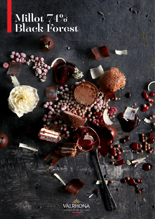# Millot 74% Black Forest

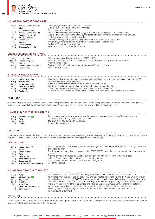

|                                            | LLVI 1970 JVFI JFVIIVL CANL                                                                      |                                                                                                                                                                                                                                |  |  |  |
|--------------------------------------------|--------------------------------------------------------------------------------------------------|--------------------------------------------------------------------------------------------------------------------------------------------------------------------------------------------------------------------------------|--|--|--|
| 180 g<br>22 g<br>141 a<br>261 <sub>q</sub> | Pasteurized egg white (1)<br><b>Albumin</b><br>Confectioner's sugar<br>Pasteurized egg white (2) | Whip the egg whites and albumin for 5 minutes.<br>Add the sugar at intervals for 7 more minutes.<br>Until a light meringue forms.<br>Mix the melted couverture, egg yolks, egg whites (2) and mix vigorously with the blender. |  |  |  |
| 87 a                                       | Pasteurized egg yolk                                                                             | Add the almond flour. Mix the rice flour, the cocoa powder and the bicarbonate of soda and add                                                                                                                                 |  |  |  |
| 152 g                                      | MILLOT 74%                                                                                       | to the previous mixture using the blender.                                                                                                                                                                                     |  |  |  |
| 109 a                                      | Almond flour                                                                                     | When the meringue is ready, add the previous mixture using a spatula to fold in.                                                                                                                                               |  |  |  |
| 98 g                                       | <b>Rice flour</b>                                                                                | Weigh out 200 grams for 30 x 40 cm frames with a thickness of 0.3 mm.                                                                                                                                                          |  |  |  |
| 33 g                                       | Cocoa powder                                                                                     | Makes 4 30 x 40cm sponge cakes.                                                                                                                                                                                                |  |  |  |
| 4.3 a                                      | Bicarbonate of soda                                                                              | Bake at 347°F (175°C) /50%h / 7 minutes.                                                                                                                                                                                       |  |  |  |

## **CHERRY-RASPBERRY COMPOTE**

| 250q              | Cherry puree             | $\therefore$ Heat the purees and sugar to 194-212°F (90°-100°C).                                       |
|-------------------|--------------------------|--------------------------------------------------------------------------------------------------------|
| 112.5 $q$         | Raspberry puree          | $\therefore$ Lower to 158°F (70°C) in an inverted bath and add the previously hydrated gelatin sheets. |
| 72.5g             | Sugar                    | : Add the lemon juice.                                                                                 |
| 10.5 <sub>a</sub> | 200 bloom gelatin sheets | $\div$ Pour into a 30 x 40 cm frame with a thickness of 0.3 mm and freeze.                             |
| 4α                | Lemon iuice              | $\div$ For 1 frame of 300 g.                                                                           |

# **WHIPPED VANILLA GANACHE**

| 210q<br>100 a<br>350 a<br>22.5g<br>22.5 g | Heavy cream 36%<br><b>IVOIRE 35%</b><br>Heavy cream 36%<br>Invert sugar paste<br>Glucose powder<br>Vanilla pod | Heat the smaller portion of cream, inverted sugar and infuse the vanilla for 15 minutes. Increase to 113°F<br>$(45^{\circ}C)$ and add the glucose powder.<br>Bring to a boil and strain. Make an emulsion with the couverture.<br>: Finally, add the larger portion of cream when cold, pass through the blender.<br>Store in the refrigerator overnight. Whip the cream to a smooth texture.<br>$\therefore$ Pour into a 30 x 40 cm frame with a thickness of 0.3 mm and freeze. For 2 frames of 300 g each. |
|-------------------------------------------|----------------------------------------------------------------------------------------------------------------|---------------------------------------------------------------------------------------------------------------------------------------------------------------------------------------------------------------------------------------------------------------------------------------------------------------------------------------------------------------------------------------------------------------------------------------------------------------------------------------------------------------|
|-------------------------------------------|----------------------------------------------------------------------------------------------------------------|---------------------------------------------------------------------------------------------------------------------------------------------------------------------------------------------------------------------------------------------------------------------------------------------------------------------------------------------------------------------------------------------------------------------------------------------------------------------------------------------------------------|

# **ASSEMBLY**

Assemble the pre-made 30 x 40 cm sheets. Chocolate sponge cake - whipped ganache - chocolate sponge cake - compote - chocolate sponge cake whipped ganache and chocolate sponge cake. Freeze. Portion out into 3 x 2 cm and store in an airtight container until use.

# **MILLOT 74% AERATED CHOCOLATE**

200 g MILLOT 74%

350 g Water<br>40 g Sugar Sugar 2 g Lecithin

Boil the water and make an emulsion over the melted couverture, store in the refrigerator for about 10 minutes. Add the soy lecithin, mix and strain. Mix at 90-95ºF (32-35ºC) with the blender. Store in the refrigerator.

#### **FINISHING**

Once made, use a blender to obtain as many air bubbles as possible. Place the rectangles from the previous assembly on racks and cover them with these air bubbles using a ladle. Store in the freezer for 5 minutes and transfer to the refrigerator until ready to use.

#### **COCOA GLAZE**

| 238 a | Heavy cream 36%              | In a saucepan add the invert sugar, cream and liquid glucose and heat to $140^{\circ}F$ (60 $^{\circ}C$ ). Make a ganache with |
|-------|------------------------------|--------------------------------------------------------------------------------------------------------------------------------|
| 322 g | Sugar                        | the cocoa powder.                                                                                                              |
|       | 119 g Liquid glucose         | Put the water and sugar in a saucepan, heat to 257°F (125°C) and make an emulsion with the cocoa powder                        |
| 95 a  | Water                        | qanache.                                                                                                                       |
| 36 a  | Invert sugar                 | Add the previously hydrated gelatin sheets. Strain through a fine sieve, skim and allow to cool.                               |
| 44 a  | 200 Bloom Gelatin            | Add the Absolut cristal glaze, mix and pass through a strainer.                                                                |
| 89 a  | Cocoa powder                 | Store at room temperature until cool. Store in the refrigerator.                                                               |
| 200 a | Absolu Cristal Neutral Glaze | Use at $95^{\circ}F$ (35 $^{\circ}C$ ).                                                                                        |

# **MILLOT 74% CHOCOLATE MOUSSE**

| 212 g<br>140 a<br>72.7 g<br>42.8 g<br>5.3 a<br>4 a | Water<br><b>MILLOT 74% 222</b><br>Egg whites<br>Oligofructose<br><b>Natur Emul</b><br>200 Bloom gelatin sheet<br>3 g Garrofin gum | $\frac{1}{2}$ Mix the water heated to 86°F (30°C) and the garrofin gum with the blender and allow to hydrate for<br>: 15 minutes. After this time, add the previously hydrated melted gelatin shhets and the Natur Emul. Pour over<br>$\frac{1}{2}$ the melted couverture at 113°F (45°C), vigorously mix in the blender to emulsify and pass through a fine sieve.<br>$\therefore$ The mixture should be at 90°F (32°C) before adding the meringue. Whip the egg whites for 4 minutes in the<br>mixer at high speed. Add the oligofructose and whip for another 6 minutes. Until a light meringue forms.<br>: When the meringue is ready, gradually add the previous mixture with the mixer at low speed.<br>: Finish by very carefully folding the mixture. Pour into a 3 cm diameter hemisphere mold and freeze.<br>: Its weight is 15 g per mold. |
|----------------------------------------------------|-----------------------------------------------------------------------------------------------------------------------------------|-------------------------------------------------------------------------------------------------------------------------------------------------------------------------------------------------------------------------------------------------------------------------------------------------------------------------------------------------------------------------------------------------------------------------------------------------------------------------------------------------------------------------------------------------------------------------------------------------------------------------------------------------------------------------------------------------------------------------------------------------------------------------------------------------------------------------------------------------------|
|----------------------------------------------------|-----------------------------------------------------------------------------------------------------------------------------------|-------------------------------------------------------------------------------------------------------------------------------------------------------------------------------------------------------------------------------------------------------------------------------------------------------------------------------------------------------------------------------------------------------------------------------------------------------------------------------------------------------------------------------------------------------------------------------------------------------------------------------------------------------------------------------------------------------------------------------------------------------------------------------------------------------------------------------------------------------|

## **FINISHING**

With a needle, dip this frozen mousse hemisphere in the cocoa glaze at 95°F (35°C) and immediately sprinkle cocoa powder over it. Store in the freezer until use. 20 minutes before use, transfer to the refrigerator.